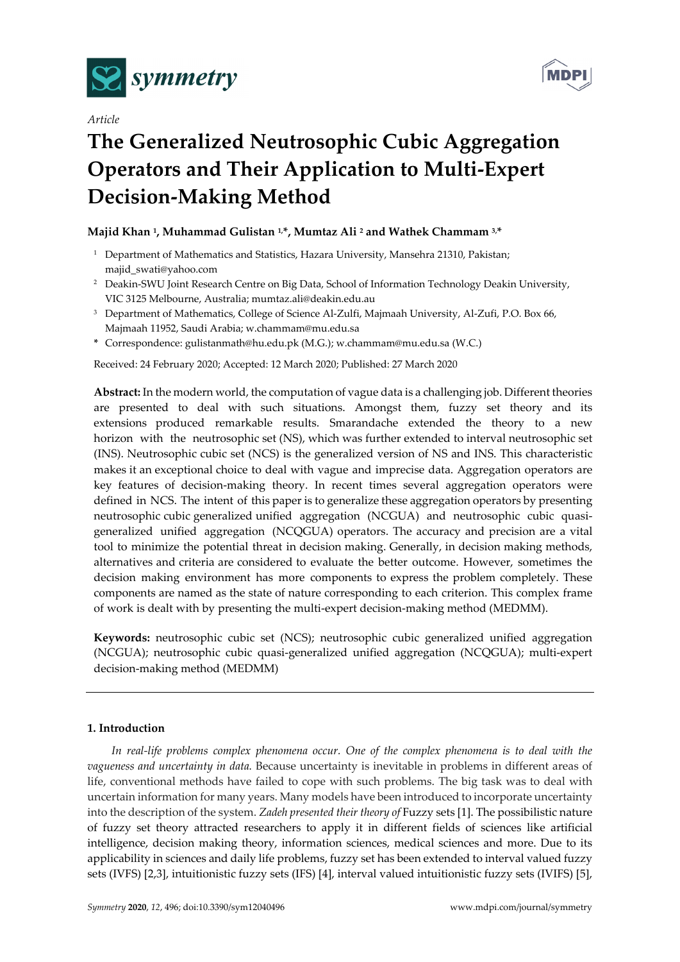

*Article* 



# **The Generalized Neutrosophic Cubic Aggregation Operators and Their Application to Multi-Expert Decision-Making Method**

# **Majid Khan 1, Muhammad Gulistan 1,\*, Mumtaz Ali 2 and Wathek Chammam 3,\***

- <sup>1</sup> Department of Mathematics and Statistics, Hazara University, Mansehra 21310, Pakistan; majid\_swati@yahoo.com
- <sup>2</sup> Deakin-SWU Joint Research Centre on Big Data, School of Information Technology Deakin University, VIC 3125 Melbourne, Australia; mumtaz.ali@deakin.edu.au
- <sup>3</sup> Department of Mathematics, College of Science Al-Zulfi, Majmaah University, Al-Zufi, P.O. Box 66, Majmaah 11952, Saudi Arabia; w.chammam@mu.edu.sa
- **\*** Correspondence: gulistanmath@hu.edu.pk (M.G.); w.chammam@mu.edu.sa (W.C.)

Received: 24 February 2020; Accepted: 12 March 2020; Published: 27 March 2020

**Abstract:** In the modern world, the computation of vague data is a challenging job. Different theories are presented to deal with such situations. Amongst them, fuzzy set theory and its extensions produced remarkable results. Smarandache extended the theory to a new horizon with the neutrosophic set (NS), which was further extended to interval neutrosophic set (INS). Neutrosophic cubic set (NCS) is the generalized version of NS and INS. This characteristic makes it an exceptional choice to deal with vague and imprecise data. Aggregation operators are key features of decision-making theory. In recent times several aggregation operators were defined in NCS. The intent of this paper is to generalize these aggregation operators by presenting neutrosophic cubic generalized unified aggregation (NCGUA) and neutrosophic cubic quasigeneralized unified aggregation (NCQGUA) operators. The accuracy and precision are a vital tool to minimize the potential threat in decision making. Generally, in decision making methods, alternatives and criteria are considered to evaluate the better outcome. However, sometimes the decision making environment has more components to express the problem completely. These components are named as the state of nature corresponding to each criterion. This complex frame of work is dealt with by presenting the multi-expert decision-making method (MEDMM).

**Keywords:** neutrosophic cubic set (NCS); neutrosophic cubic generalized unified aggregation (NCGUA); neutrosophic cubic quasi-generalized unified aggregation (NCQGUA); multi-expert decision-making method (MEDMM)

# **1. Introduction**

*In real-life problems complex phenomena occur. One of the complex phenomena is to deal with the vagueness and uncertainty in data.* Because uncertainty is inevitable in problems in different areas of life, conventional methods have failed to cope with such problems. The big task was to deal with uncertain information for many years. Many models have been introduced to incorporate uncertainty into the description of the system. *Zadeh presented their theory of* Fuzzy sets [1]. The possibilistic nature of fuzzy set theory attracted researchers to apply it in different fields of sciences like artificial intelligence, decision making theory, information sciences, medical sciences and more. Due to its applicability in sciences and daily life problems, fuzzy set has been extended to interval valued fuzzy sets (IVFS) [2,3], intuitionistic fuzzy sets (IFS) [4], interval valued intuitionistic fuzzy sets (IVIFS) [5],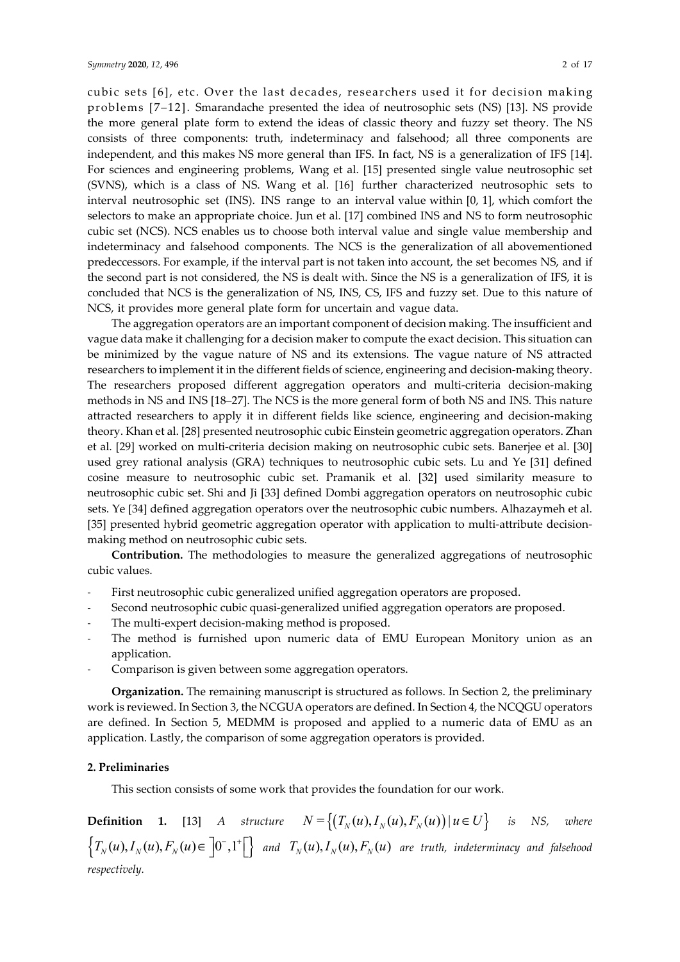cubic sets [6], etc. Over the last decades, researchers used it for decision making problems [7–12]. Smarandache presented the idea of neutrosophic sets (NS) [13]. NS provide the more general plate form to extend the ideas of classic theory and fuzzy set theory. The NS consists of three components: truth, indeterminacy and falsehood; all three components are independent, and this makes NS more general than IFS. In fact, NS is a generalization of IFS [14]. For sciences and engineering problems, Wang et al. [15] presented single value neutrosophic set (SVNS), which is a class of NS. Wang et al. [16] further characterized neutrosophic sets to interval neutrosophic set (INS). INS range to an interval value within [0, 1], which comfort the selectors to make an appropriate choice. Jun et al. [17] combined INS and NS to form neutrosophic cubic set (NCS). NCS enables us to choose both interval value and single value membership and indeterminacy and falsehood components. The NCS is the generalization of all abovementioned predeccessors. For example, if the interval part is not taken into account, the set becomes NS, and if the second part is not considered, the NS is dealt with. Since the NS is a generalization of IFS, it is concluded that NCS is the generalization of NS, INS, CS, IFS and fuzzy set. Due to this nature of NCS, it provides more general plate form for uncertain and vague data.

The aggregation operators are an important component of decision making. The insufficient and vague data make it challenging for a decision maker to compute the exact decision. This situation can be minimized by the vague nature of NS and its extensions. The vague nature of NS attracted researchers to implement it in the different fields of science, engineering and decision-making theory. The researchers proposed different aggregation operators and multi-criteria decision-making methods in NS and INS [18–27]. The NCS is the more general form of both NS and INS. This nature attracted researchers to apply it in different fields like science, engineering and decision-making theory. Khan et al. [28] presented neutrosophic cubic Einstein geometric aggregation operators. Zhan et al. [29] worked on multi-criteria decision making on neutrosophic cubic sets. Banerjee et al. [30] used grey rational analysis (GRA) techniques to neutrosophic cubic sets. Lu and Ye [31] defined cosine measure to neutrosophic cubic set. Pramanik et al. [32] used similarity measure to neutrosophic cubic set. Shi and Ji [33] defined Dombi aggregation operators on neutrosophic cubic sets. Ye [34] defined aggregation operators over the neutrosophic cubic numbers. Alhazaymeh et al. [35] presented hybrid geometric aggregation operator with application to multi-attribute decisionmaking method on neutrosophic cubic sets.

**Contribution.** The methodologies to measure the generalized aggregations of neutrosophic cubic values.

- First neutrosophic cubic generalized unified aggregation operators are proposed.
- Second neutrosophic cubic quasi-generalized unified aggregation operators are proposed.
- The multi-expert decision-making method is proposed.
- The method is furnished upon numeric data of EMU European Monitory union as an application.
- Comparison is given between some aggregation operators.

**Organization.** The remaining manuscript is structured as follows. In Section 2, the preliminary work is reviewed. In Section 3, the NCGUA operators are defined. In Section 4, the NCQGU operators are defined. In Section 5, MEDMM is proposed and applied to a numeric data of EMU as an application. Lastly, the comparison of some aggregation operators is provided.

# **2. Preliminaries**

This section consists of some work that provides the foundation for our work.

**Definition 1.** [13] A structure  $N = \{(T_N(u), I_N(u), F_N(u)) | u \in U\}$  is NS, where  $\left\{T_N(u), T_N(u), F_N(u) \in \left]0^-, 1^+ \right[\right\}$  and  $T_N(u), T_N(u), F_N(u)$  are truth, indeterminacy and falsehood *respectively.*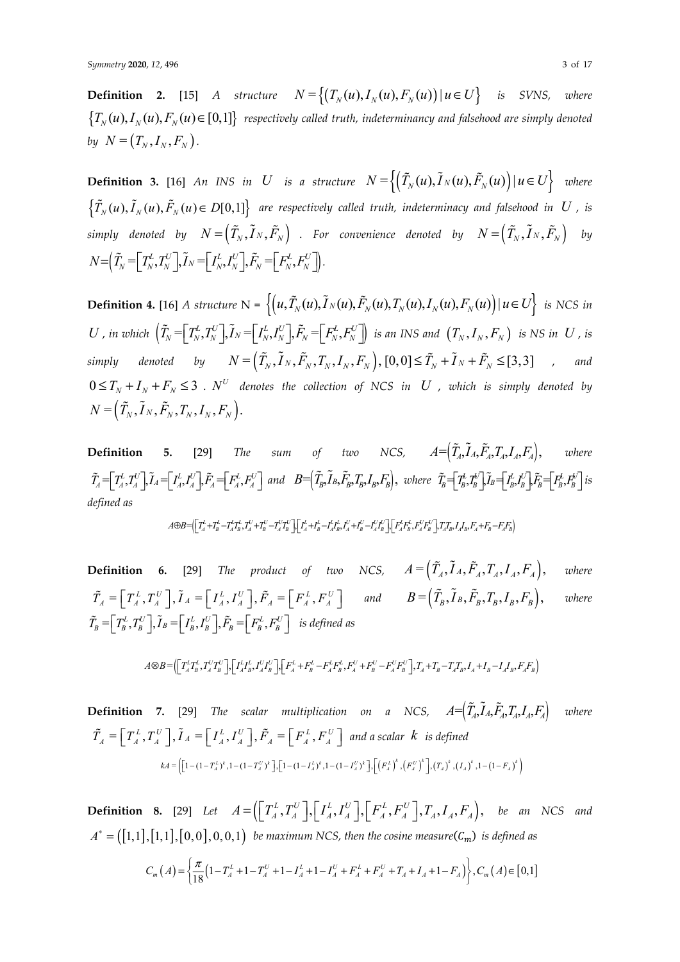**Definition 2.** [15] *A structure*  $N = \left\{ (T_N(u), I_N(u), F_N(u)) \mid u \in U \right\}$  *is SVNS, where*  ${T_N(u), I_N(u), F_N(u) \in [0,1]}$  respectively called truth, indeterminancy and falsehood are simply denoted *by*  $N = (T_N, I_N, F_N)$ .

**Definition 3.** [16] *An INS in U is a structure*  $N = \left\{ \left( \tilde{T}_N(u), \tilde{T}_N(u), \tilde{F}_N(u) \right) | u \in U \right\}$  where  $\{\tilde{T}_N(u), \tilde{I}_N(u), \tilde{F}_N(u) \in D[0,1]\}$  are respectively called truth, indeterminacy and falsehood in U, is  $S$  *simply denoted by*  $N \! = \! \left( \tilde{T}_N, \tilde{I}_N, \tilde{F}_N \right)$  *. For convenience denoted by*  $N \! = \! \left( \tilde{T}_N, \tilde{I}_N, \tilde{F}_N \right)$  *by*  $N{=}(\widetilde{T}_{\!\scriptscriptstyle N}{\,{=}\,}\big\!\!\!\big\lfloor T_{\!\scriptscriptstyle N}^{\!\scriptscriptstyle L}, T_{\!\scriptscriptstyle N}^{\!\scriptscriptstyle U} \big\rfloor\!,\widetilde{I}_{\!\scriptscriptstyle N}{\,{=}\,}\big\!\!\!\big\lfloor I_{\!\scriptscriptstyle N}^{\!\scriptscriptstyle L}, I_{\!\scriptscriptstyle N}^{\!\scriptscriptstyle U} \big\rfloor\!,\!\widetilde{F}_{\!\scriptscriptstyle N}{\,{=}\,}\big\!\!\!\big\lfloor F_{\!\scriptscriptstyle N}^{\!\scriptscriptstyle L}, F_{\!\scriptscriptstyle N}^{\!\scriptscriptstyle U} \big\rfloor\!\!\!\big\!\!\big$ 

**Definition 4.** [16] *A structure*  $N = \left\{ \left( u, \tilde{T}_N(u), \tilde{T}_N(u), \tilde{F}_N(u), T_N(u), I_N(u), F_N(u) \right) | u \in U \right\}$  *is NCS in*  $U$  , in which  $\left(\tilde{T}_N\!=\!\!\left[\vphantom{\tilde{T}_N}\right]\!\!,\!T_N\!=\!\!\left[\vphantom{\tilde{T}_N}\right]\!\!,\! \tilde{F}_N\!=\!\!\left[\vphantom{\tilde{T}_N}\!\!,\! F_N\!\right]\!\!,\! \tilde{F}_N\!=\!\!\left[\vphantom{\tilde{T}_N}\!\!,\! F_N\!\right]$  is an INS and  $\left(\vphantom{\tilde{T}_N}\!\!,\! I_N,\! F_N\right)$  is NS in  $\,U$  , is  $Simply$  denoted by  $N = (\tilde{T}_N, \tilde{I}_N, \tilde{F}_N, T_N, I_N, F_N)$ ,  $[0,0] \le \tilde{T}_N + \tilde{I}_N + \tilde{F}_N \leq [3,3]$  , and  $0 \le T_N + I_N + F_N \le 3$  .  $N^U$  denotes the collection of NCS in U , which is simply denoted by  $N = (\tilde{T}_N, \tilde{I}_N, \tilde{F}_N, T_N, I_N, F_N).$ 

**Definition 5.** [29] *The sum of two NCS,*  $A = (\tilde{T}_A, \tilde{I}_A, \tilde{F}_A, T_A, I_A, F_A)$ *, where*  $\tilde{T}_A\hspace{-.1cm}=\hspace{-.1cm}\left[T_A^L,T_A^U\right]\hspace{-.1cm}\left.\tilde{J}_A\hspace{-.1cm}=\hspace{-.1cm}\left[T_A^L,T_A^U\right]\hspace{-.1cm}\left.\tilde{F}_A\hspace{-.1cm}=\hspace{-.1cm}\left[F_A^L,F_A^U\right]\right] \text{ and }\hspace{.1cm} B\hspace{-.1cm}=\hspace{-.1cm}\left(\tilde{T}_B,\tilde{I}_B,\tilde{F}_B,T_B,I_B,F_B\right), \text{ where }\hspace{.1cm} \tilde{T}_B\hspace{-.1cm}=\hspace{-.1cm}\left[T_B^L$ *defined as*

$$
A\oplus B=\!\!\left[\!\left[\!\left.\!\!\Gamma_{A}^{L}\!+\!\!T_{B}^{L}\!-\!\!T_{A}^{L}\!T_{B}^{L},T_{A}^{U}\!+\!T_{B}^{U}\!-\!T_{A}^{U}T_{B}^{U}\right]\!\right]\!\!\left[\!\left.\!\left.\!\!\right.\!\!\right]\!\! \left[\!\left.\!\!\Gamma_{A}^{L}\!+\!I_{B}^{L}\!-\!I_{A}^{L}\!I_{B}^{L},T_{A}^{U}\!+\!I_{B}^{U}\!-\!I_{A}^{U}T_{B}^{U}\right]\!\right]\!\left[\!\left.\!\left.\!\!\left.\!\!\right.\!\! \left.\!\!\!\right.\!\! \left.\!\!\!\right.\!\! \left.\!\! \Gamma_{A}^{L}\!+\!F_{B}^{L},T_{A}^{L},T_{B}^{L},T_{A}^{U}\!+\!F_{B}^{U}\!-\!I_{A}^{U}T_{B}^{U}\right]\!\right]\!\right]\!\left.\!\left.\!\!\left.\!\!\right.\!\! \left.\!\!\!\right.\!\! \left.\!\!\!\right.\!\! \left.\!\!\!\right.\!\! \left.\!\!\!\right.\right)
$$

**Definition 6.** [29] *The product of two NCS,*  $A = (\tilde{T}_A, \tilde{I}_A, \tilde{F}_A, T_A, I_A, F_A)$ *, where*  $\tilde{T}_A = \left[ T_A^L, T_A^U \right], \tilde{I}_A = \left[ I_A^L, I_A^U \right], \tilde{F}_A = \left[ F_A^L, F_A^U \right]$  and  $B = \left( \tilde{T}_B, \tilde{I}_B, \tilde{F}_B, T_B, I_B, F_B \right),$  where  $\tilde{T}_n = \left[T_n^L, T_n^U\right], \tilde{I}_B = \left[T_n^L, I_n^U\right], \tilde{F}_n = \left[F_n^L, F_n^U\right]$  is defined as

$$
A\otimes B=\bigr(\bigr[\!\!\!\bigr.\lbrack T_A^L T_B^L, T_A^U T_B^U \rbrack \!\!\!\bigr.\bigr],\bigr[\!\!\!\bigr.\lbrack I_A^L I_B^L, I_A^U I_B^U \rbrack \!\!\!\bigr],\bigr[\!\!\!\bigr.\lbrack F_A^L+F_B^L-F_A^L F_B^L, F_A^U+F_B^U-F_A^U F_B^U \rbrack \!\!\!\bigr], T_A+T_B-T_AT_B, I_A+I_B-I_AI_B, F_AF_B \rbrack \nonumber
$$

**Definition** 7. [29] *The scalar multiplication on a NCS,*  $A = (\tilde{T}_A, \tilde{I}_A, \tilde{F}_A, T_A, I_A, F_A)$  where  $\tilde{T}_A = \left[ T_A^L, T_A^U \right], \tilde{I}_A = \left[ T_A^L, I_A^U \right], \tilde{F}_A = \left[ F_A^L, F_A^U \right]$  and a scalar  $k$  is defined  $kA = \left( \left[ 1 - (1 - T_A^L)^k, 1 - (1 - T_A^U)^k \right], \left[ 1 - (1 - I_A^L)^k, 1 - (1 - I_A^U)^k \right], \left( \left( F_A^L \right)^k, \left( F_A^U \right)^k \right], \left( T_A \right)^k, \left( I_A \right)^k, 1 - (1 - F_A)^k \right)$ 

**Definition 8.** [29] Let  $A = (\begin{bmatrix} T_A^L, T_A^U \end{bmatrix}, \begin{bmatrix} I_A^L, I_A^U \end{bmatrix}, \begin{bmatrix} F_A^L, F_A^U \end{bmatrix}, T_A, I_A, F_A)$ , be an NCS and  $A^* = ([1,1], [1,1], [0,0], 0, 0, 1]$  be maximum NCS, then the cosine measure( $C_m$ ) is defined as

$$
C_m(A) = \left\{ \frac{\pi}{18} \left( 1 - T_A^L + 1 - T_A^U + 1 - T_A^L + 1 - T_A^U + F_A^L + F_A^U + T_A + T_A + 1 - F_A \right) \right\}, C_m(A) \in [0,1]
$$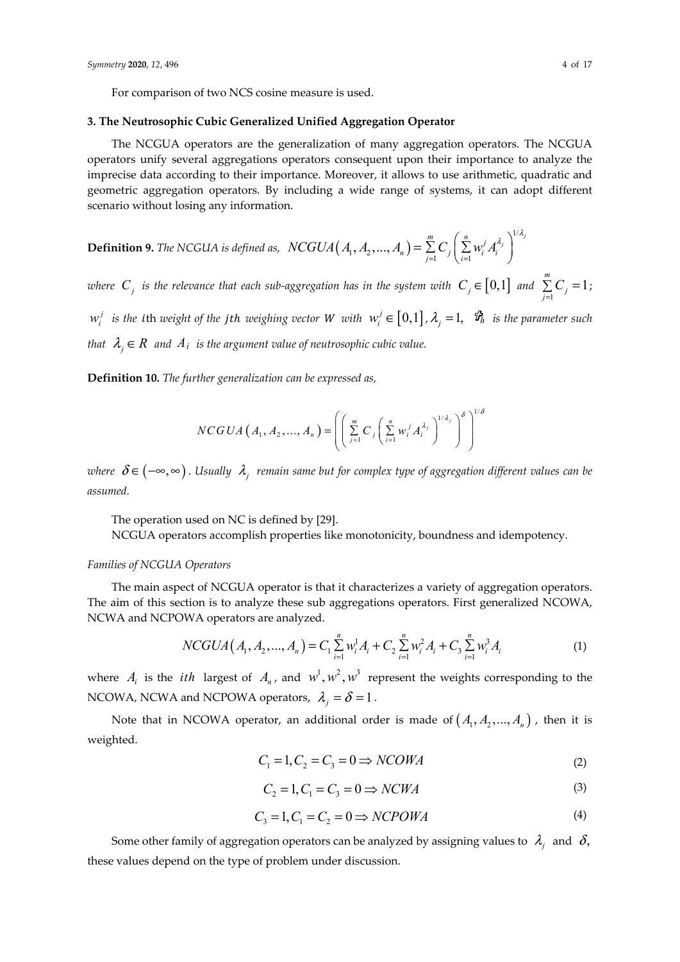For comparison of two NCS cosine measure is used.

#### **3. The Neutrosophic Cubic Generalized Unified Aggregation Operator**

The NCGUA operators are the generalization of many aggregation operators. The NCGUA operators unify several aggregations operators consequent upon their importance to analyze the imprecise data according to their importance. Moreover, it allows to use arithmetic, quadratic and geometric aggregation operators. By including a wide range of systems, it can adopt different scenario without losing any information.

**Definition 9.** The NCGUA is defined as,  $NCGUA(A_1, A_2, ..., A_n)$ 1/  $\left(1, A_2, ..., A_n\right) = \sum_{j=1}^m C_j \left(\sum_{i=1}^n w_i^j A_i^{\lambda_j}\right)^{1/\lambda_j}$  $NCGUA(A_1, A_2, ..., A_n) = \sum_{j=1}^{n} C_j \left( \sum_{i=1}^{n} w_i^j A_i \right)$  $\lambda_i$ <sup>1/ $\lambda_i$ </sup>  $=\sum_{j=1}^{m}C_{j}\left(\sum_{i=1}^{n}w_{i}^{j}A_{i}^{\lambda_{j}}\right)$ 

*where*  $C_j$  *is the relevance that each sub-aggregation has in the system with*  $C_j \in [0,1]$  *and*  $\sum_{j=1}^{m} C_j = 1$  $\sum_{j=1} C_j = 1;$  $w_i^j$  *is the ith weight of the jth weighing vector W with*  $w_i^j \in [0,1]$ ,  $\lambda_j = 1$ ,  $\hat{\mathbf{u}}_n^j$  *is the parameter such that*  $\lambda_i \in R$  *and*  $A_i$  *is the argument value of neutrosophic cubic value.* 

**Definition 10.** *The further generalization can be expressed as,* 

$$
NCGUA\left(A_{1}, A_{2},..., A_{n}\right)=\left(\left(\sum_{j=1}^{m} C_{j}\left(\sum_{i=1}^{n} w_{i}^{j} A_{i}^{A_{j}}\right)^{1/A_{j}}\right)^{\delta}\right)^{1/\delta}
$$

*where*  $\delta \in (-\infty, \infty)$ . Usually  $\lambda_i$  *remain same but for complex type of aggregation different values can be assumed.*

The operation used on NC is defined by [29]. NCGUA operators accomplish properties like monotonicity, boundness and idempotency.

#### *Families of NCGUA Operators*

The main aspect of NCGUA operator is that it characterizes a variety of aggregation operators. The aim of this section is to analyze these sub aggregations operators. First generalized NCOWA, NCWA and NCPOWA operators are analyzed.

$$
NCGUA(A_1, A_2, ..., A_n) = C_1 \sum_{i=1}^n w_i^1 A_i + C_2 \sum_{i=1}^n w_i^2 A_i + C_3 \sum_{i=1}^n w_i^3 A_i
$$
 (1)

where  $A_i$  is the *ith* largest of  $A_n$ , and  $w^1, w^2, w^3$  represent the weights corresponding to the NCOWA, NCWA and NCPOWA operators,  $\lambda_i = \delta = 1$ .

Note that in NCOWA operator, an additional order is made of  $(A_1, A_2, ..., A_n)$ , then it is weighted.

$$
C_1 = 1, C_2 = C_3 = 0 \Rightarrow NCOMA \tag{2}
$$

$$
C_2 = 1, C_1 = C_3 = 0 \Rightarrow NCMA \tag{3}
$$

$$
C_3 = 1, C_1 = C_2 = 0 \Rightarrow NCPOWA \tag{4}
$$

Some other family of aggregation operators can be analyzed by assigning values to  $\lambda_i$  and  $\delta$ , these values depend on the type of problem under discussion.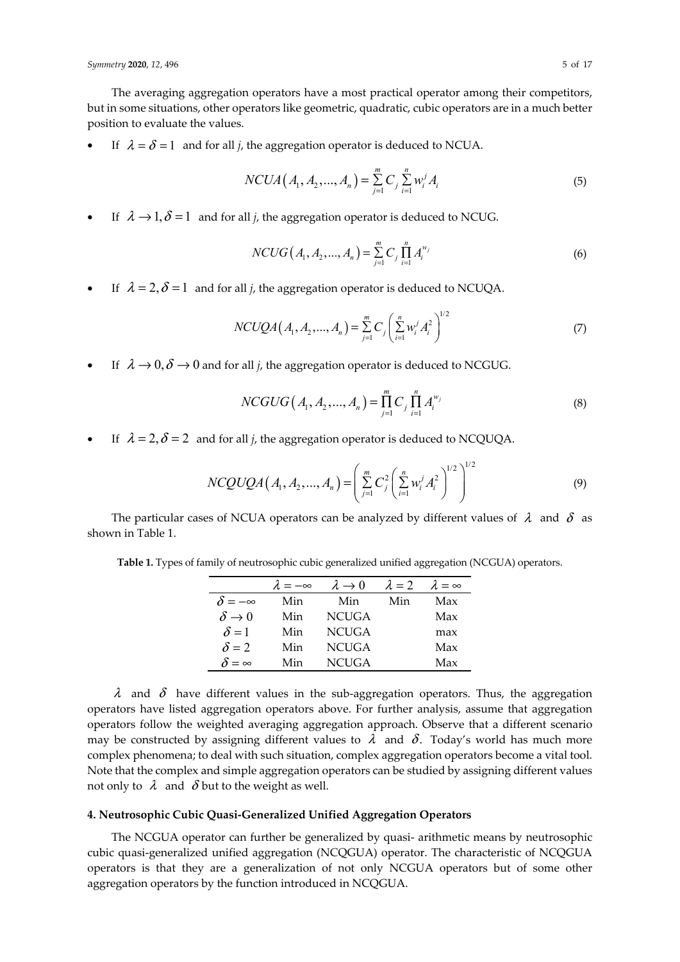The averaging aggregation operators have a most practical operator among their competitors, but in some situations, other operators like geometric, quadratic, cubic operators are in a much better position to evaluate the values.

If  $\lambda = \delta = 1$  and for all *j*, the aggregation operator is deduced to NCUA.

$$
NCUA(A_1, A_2, ..., A_n) = \sum_{j=1}^{m} C_j \sum_{i=1}^{n} w_i^{j} A_i
$$
\n(5)

If  $\lambda \rightarrow 1, \delta = 1$  and for all *j*, the aggregation operator is deduced to NCUG.

$$
NCUG(A_1, A_2, ..., A_n) = \sum_{j=1}^{m} C_j \prod_{i=1}^{n} A_i^{w_j}
$$
(6)

If  $\lambda = 2$ ,  $\delta = 1$  and for all *j*, the aggregation operator is deduced to NCUQA.

$$
NCUQA(A_1, A_2, ..., A_n) = \sum_{j=1}^{m} C_j \left( \sum_{i=1}^{n} w_i^j A_i^2 \right)^{1/2}
$$
 (7)

If  $\lambda \rightarrow 0$ ,  $\delta \rightarrow 0$  and for all *j*, the aggregation operator is deduced to NCGUG.

$$
NCGUG(A_1, A_2, ..., A_n) = \prod_{j=1}^{m} C_j \prod_{i=1}^{n} A_i^{w_j}
$$
\n(8)

If  $\lambda = 2$ ,  $\delta = 2$  and for all *j*, the aggregation operator is deduced to NCQUQA.

$$
NCQUQA(A_1, A_2, ..., A_n) = \left(\sum_{j=1}^m C_j^2 \left(\sum_{i=1}^n w_i^j A_i^2\right)^{1/2}\right)^{1/2}
$$
(9)

The particular cases of NCUA operators can be analyzed by different values of  $\lambda$  and  $\delta$  as shown in Table 1.

**Table 1.** Types of family of neutrosophic cubic generalized unified aggregation (NCGUA) operators.

|                        | $\lambda = -\infty$ | $\lambda \rightarrow 0$ | $\lambda = 2$ | $\lambda = \infty$ |
|------------------------|---------------------|-------------------------|---------------|--------------------|
| $\delta = -\infty$     | Min                 | Min                     | Min           | Max                |
| $\delta \rightarrow 0$ | Min                 | <b>NCUGA</b>            |               | Max                |
| $\delta = 1$           | Min                 | <b>NCUGA</b>            |               | max                |
| $\delta = 2$           | Min                 | <b>NCUGA</b>            |               | Max                |
| $\delta = \infty$      | Min                 | <b>NCUGA</b>            |               | Max                |

 $\lambda$  and  $\delta$  have different values in the sub-aggregation operators. Thus, the aggregation operators have listed aggregation operators above. For further analysis, assume that aggregation operators follow the weighted averaging aggregation approach. Observe that a different scenario may be constructed by assigning different values to  $\lambda$  and  $\delta$ . Today's world has much more complex phenomena; to deal with such situation, complex aggregation operators become a vital tool. Note that the complex and simple aggregation operators can be studied by assigning different values not only to  $\lambda$  and  $\delta$  but to the weight as well.

# **4. Neutrosophic Cubic Quasi-Generalized Unified Aggregation Operators**

The NCGUA operator can further be generalized by quasi- arithmetic means by neutrosophic cubic quasi-generalized unified aggregation (NCQGUA) operator. The characteristic of NCQGUA operators is that they are a generalization of not only NCGUA operators but of some other aggregation operators by the function introduced in NCQGUA.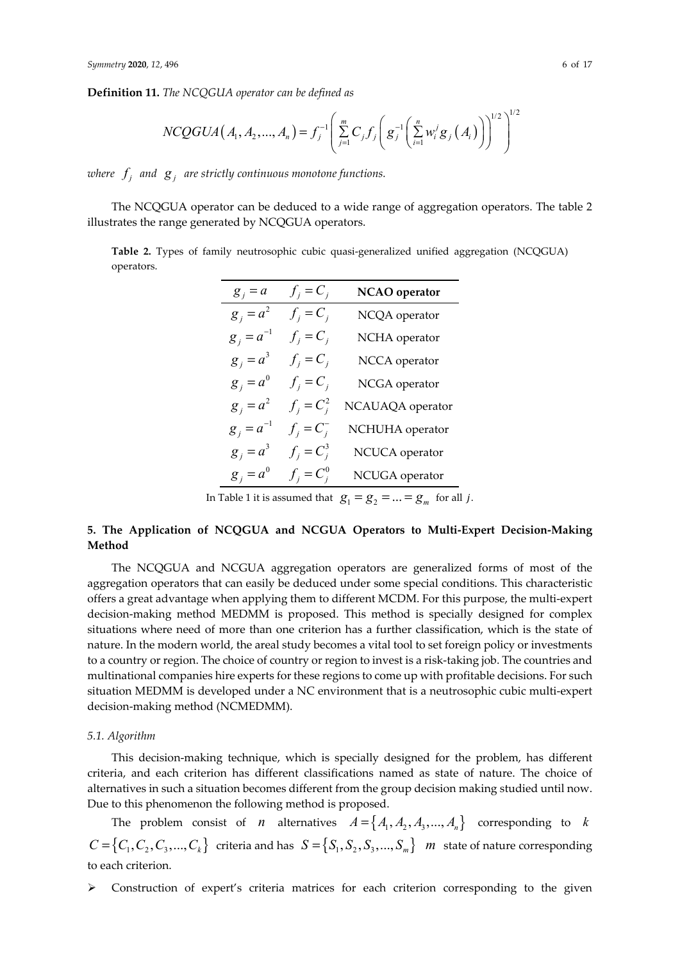**Definition 11.** *The NCQGUA operator can be defined as*

$$
NCOGUA(A_1, A_2, ..., A_n) = f_j^{-1} \left( \sum_{j=1}^m C_j f_j \left( g_j^{-1} \left( \sum_{i=1}^n w_i^j g_j (A_i) \right) \right)^{1/2} \right)^{1/2}
$$

*where*  $f_i$  and  $g_i$  are strictly continuous monotone functions.

The NCQGUA operator can be deduced to a wide range of aggregation operators. The table 2 illustrates the range generated by NCQGUA operators.

**Table 2.** Types of family neutrosophic cubic quasi-generalized unified aggregation (NCQGUA) operators.

| $g_j = a$      | $f_i = C_i$   | NCAO operator    |
|----------------|---------------|------------------|
| $g_i = a^2$    | $f_i = C_i$   | NCQA operator    |
| $g_i = a^{-1}$ | $f_i = C_i$   | NCHA operator    |
| $g_i = a^3$    | $f_i = C_i$   | NCCA operator    |
| $g_i = a^0$    | $f_i = C_i$   | NCGA operator    |
| $g_i = a^2$    | $f_i = C_i^2$ | NCAUAQA operator |
| $g_i = a^{-1}$ | $f_j = C_j^-$ | NCHUHA operator  |
| $g_i = a^3$    | $f_i = C_i^3$ | NCUCA operator   |
| $g_i = a^0$    | $f_i = C_i^0$ | NCUGA operator   |
|                |               |                  |

In Table 1 it is assumed that  $g_1 = g_2 = ... = g_m$  for all j.

# **5. The Application of NCQGUA and NCGUA Operators to Multi-Expert Decision-Making Method**

The NCQGUA and NCGUA aggregation operators are generalized forms of most of the aggregation operators that can easily be deduced under some special conditions. This characteristic offers a great advantage when applying them to different MCDM. For this purpose, the multi-expert decision-making method MEDMM is proposed. This method is specially designed for complex situations where need of more than one criterion has a further classification, which is the state of nature. In the modern world, the areal study becomes a vital tool to set foreign policy or investments to a country or region. The choice of country or region to invest is a risk-taking job. The countries and multinational companies hire experts for these regions to come up with profitable decisions. For such situation MEDMM is developed under a NC environment that is a neutrosophic cubic multi-expert decision-making method (NCMEDMM).

#### *5.1. Algorithm*

This decision-making technique, which is specially designed for the problem, has different criteria, and each criterion has different classifications named as state of nature. The choice of alternatives in such a situation becomes different from the group decision making studied until now. Due to this phenomenon the following method is proposed.

The problem consist of *n* alternatives  $A = \{A_1, A_2, A_3, ..., A_n\}$  corresponding to *k*  $C = \{C_1, C_2, C_3, ..., C_k\}$  criteria and has  $S = \{S_1, S_2, S_3, ..., S_m\}$  *m* state of nature corresponding to each criterion.

 $\triangleright$  Construction of expert's criteria matrices for each criterion corresponding to the given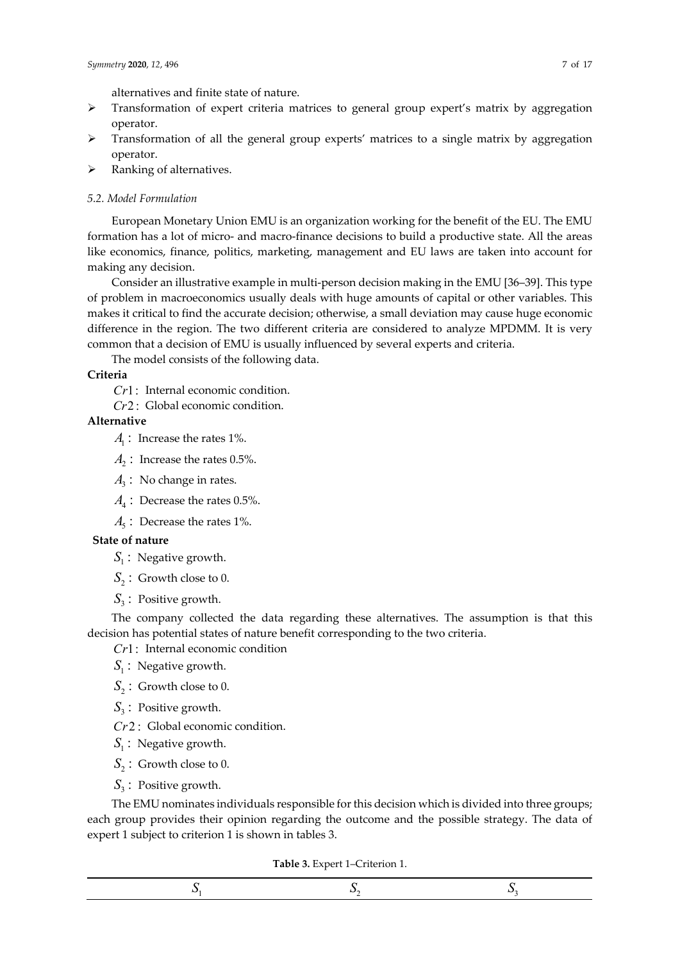alternatives and finite state of nature.

- > Transformation of expert criteria matrices to general group expert's matrix by aggregation operator.
- Transformation of all the general group experts' matrices to a single matrix by aggregation operator.
- $\triangleright$  Ranking of alternatives.

#### *5.2. Model Formulation*

European Monetary Union EMU is an organization working for the benefit of the EU. The EMU formation has a lot of micro- and macro-finance decisions to build a productive state. All the areas like economics, finance, politics, marketing, management and EU laws are taken into account for making any decision.

Consider an illustrative example in multi-person decision making in the EMU [36–39]. This type of problem in macroeconomics usually deals with huge amounts of capital or other variables. This makes it critical to find the accurate decision; otherwise, a small deviation may cause huge economic difference in the region. The two different criteria are considered to analyze MPDMM. It is very common that a decision of EMU is usually influenced by several experts and criteria.

The model consists of the following data.

## **Criteria**

*Cr*1: Internal economic condition.

*Cr*2 : Global economic condition.

# **Alternative**

- $A<sub>1</sub>$ : Increase the rates 1%.
- $A_2$ : Increase the rates 0.5%.
- $A_3$ : No change in rates.
- $A_4$  : Decrease the rates 0.5%.
- $A<sub>s</sub>$ : Decrease the rates 1%.

## **State of nature**

- $S<sub>1</sub>$ : Negative growth.
- $S_2$ : Growth close to 0.
- $S_3$ : Positive growth.

The company collected the data regarding these alternatives. The assumption is that this decision has potential states of nature benefit corresponding to the two criteria.

*Cr*1: Internal economic condition

- $S<sub>1</sub>$ : Negative growth.
- $S_2$ : Growth close to 0.
- S<sub>2</sub>: Positive growth.
- *Cr*2 : Global economic condition.
- $S<sub>1</sub>$ : Negative growth.
- $S_2$ : Growth close to 0.
- $S_3$ : Positive growth.

The EMU nominates individuals responsible for this decision which is divided into three groups; each group provides their opinion regarding the outcome and the possible strategy. The data of expert 1 subject to criterion 1 is shown in tables 3.

**Table 3.** Expert 1–Criterion 1.

|--|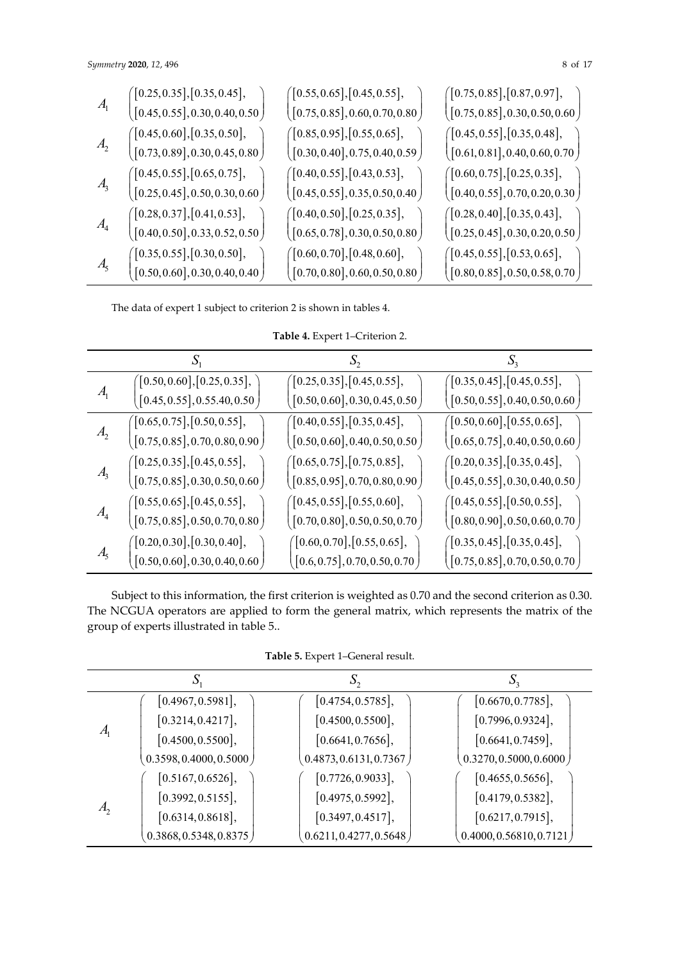| A <sub>1</sub> | $\big([0.25, 0.35], [0.35, 0.45],$            | $\big([0.55, 0.65], [0.45, 0.55],$         | $($ [0.75,0.85],[0.87,0.97],                              |
|----------------|-----------------------------------------------|--------------------------------------------|-----------------------------------------------------------|
|                | $\left([0.45,0.55],0.30,0.40,0.50\right)$     | $\left([0.75,0.85],0.60,0.70,0.80\right)$  | $\left([0.75,0.85],0.30,0.50,0.60\right)$                 |
| A <sub>2</sub> | ([0.45, 0.60], [0.35, 0.50],                  | $($ [0.85,0.95],[0.55,0.65],               | ([0.45, 0.55], [0.35, 0.48],                              |
|                | $\left([0.73,0.89],0.30,0.45,0.80\right)$     | $\left([0.30,0.40],0.75,0.40,0.59\right)$  | $\left([0.61,0.81],0.40,0.60,0.70\right)$                 |
| A <sub>3</sub> | ([0.45, 0.55], [0.65, 0.75],                  | $\bigl([0.40, 0.55], [0.43, 0.53],$        | $($ [0.60, 0.75], [0.25, 0.35],                           |
|                | $\left([0.25,0.45],0.50,0.30,0.60\right)$     | $\left([0.45,0.55],0.35,0.50,0.40\right)$  | $\left([0.40, 0.55], 0.70, 0.20, 0.30\right)$             |
| A <sub>4</sub> | ([0.28, 0.37], [0.41, 0.53],                  | ([0.40, 0.50], [0.25, 0.35],               | $($ [0.28, 0.40],[0.35, 0.43],                            |
|                | $\left([0.40,0.50],0.33,0.52,0.50\right)$     | $\left([0.65,0.78],0.30,0.50,0.80\right)$  | $\left([0.25,0.45],0.30,0.20,0.50\right)$                 |
| A <sub>5</sub> | $($ [0.35,0.55],[0.30,0.50],                  | $($ [0.60,0.70],[0.48,0.60],               | $($ [0.45, 0.55],[0.53, 0.65],                            |
|                | $\left([0.50, 0.60], 0.30, 0.40, 0.40\right)$ | $\big([0.70, 0.80], 0.60, 0.50, 0.80\big)$ | $\big( \big[ 0.80, 0.85 \big], 0.50, 0.58, 0.70 \, \big)$ |

The data of expert 1 subject to criterion 2 is shown in tables 4.

| Table 4. Expert 1-Criterion 2. |  |
|--------------------------------|--|
|--------------------------------|--|

|                   | $S_{1}$                                   |                                                           | $S_{3}$                                                   |
|-------------------|-------------------------------------------|-----------------------------------------------------------|-----------------------------------------------------------|
|                   | $\bigl([0.50, 0.60], [0.25, 0.35],\bigr)$ | $\left([0.25, 0.35], [0.45, 0.55],\right.$                | $\bigl([0.35, 0.45], [0.45, 0.55],\bigr]$                 |
| $A_{1}$           | $\left([0.45,0.55],0.55.40,0.50\right)$   | $\big( \big[ 0.50, 0.60 \big], 0.30, 0.45, 0.50 \, \big)$ | $\left([0.50, 0.55], 0.40, 0.50, 0.60\right)$             |
|                   | ([0.65, 0.75], [0.50, 0.55],              | ([0.40, 0.55], [0.35, 0.45],                              | ([0.50, 0.60], [0.55, 0.65],                              |
| A <sub>2</sub>    | $\left([0.75,0.85],0.70,0.80,0.90\right)$ | $\big( \big[ 0.50, 0.60 \big], 0.40, 0.50, 0.50 \, \big)$ | $\left([0.65,0.75],0.40,0.50,0.60\right)$                 |
|                   | ([0.25, 0.35], [0.45, 0.55],              | ([0.65, 0.75], [0.75, 0.85],                              | ([0.20, 0.35], [0.35, 0.45],                              |
| $\mathcal{A}_{3}$ | $\left([0.75,0.85],0.30,0.50,0.60\right)$ | $\big( \big[ 0.85, 0.95 \big], 0.70, 0.80, 0.90 \, \big)$ | $\left([0.45,0.55],0.30,0.40,0.50\right)$                 |
|                   | ([0.55, 0.65], [0.45, 0.55],              | ([0.45, 0.55], [0.55, 0.60],                              | ([0.45, 0.55], [0.50, 0.55],                              |
| A <sub>4</sub>    | $\left([0.75,0.85],0.50,0.70,0.80\right)$ | $\big( \big[ 0.70, 0.80 \big], 0.50, 0.50, 0.70 \, \big)$ | $\big( \big[ 0.80, 0.90 \big], 0.50, 0.60, 0.70 \, \big)$ |
|                   | $\bigl([0.20, 0.30], [0.30, 0.40],\bigr)$ | $\left([0.60, 0.70],[0.55, 0.65],\right.$                 | ([0.35, 0.45], [0.35, 0.45],                              |
| A <sub>5</sub>    | [0.50, 0.60], 0.30, 0.40, 0.60]           | $\left([0.6,0.75],0.70,0.50,0.70\right)$                  | $\left([0.75,0.85],0.70,0.50,0.70\right)$                 |

Subject to this information, the first criterion is weighted as 0.70 and the second criterion as 0.30. The NCGUA operators are applied to form the general matrix, which represents the matrix of the group of experts illustrated in table 5..

**Table 5.** Expert 1–General result.

|                | $S_1$                                 |                          |                           |
|----------------|---------------------------------------|--------------------------|---------------------------|
|                | [0.4967, 0.5981],                     | [0.4754, 0.5785],        | [0.6670, 0.7785],         |
|                | [0.3214, 0.4217],                     | [0.4500, 0.5500],        | [0.7996, 0.9324],         |
| $A_{1}$        | [0.4500, 0.5500],                     | [0.6641, 0.7656],        | [0.6641, 0.7459],         |
|                | (0.3598, 0.4000, 0.5000)              | (0.4873, 0.6131, 0.7367) | (0.3270, 0.5000, 0.6000)  |
|                | [0.5167, 0.6526],                     | [0.7726, 0.9033],        | [0.4655, 0.5656],         |
| A <sub>2</sub> | [0.3992, 0.5155],                     | [0.4975, 0.5992],        | [0.4179, 0.5382],         |
|                | [0.6314, 0.8618],                     | [0.3497, 0.4517],        | [0.6217, 0.7915],         |
|                | $\left(0.3868, 0.5348, 0.8375\right)$ | (0.6211, 0.4277, 0.5648) | (0.4000, 0.56810, 0.7121) |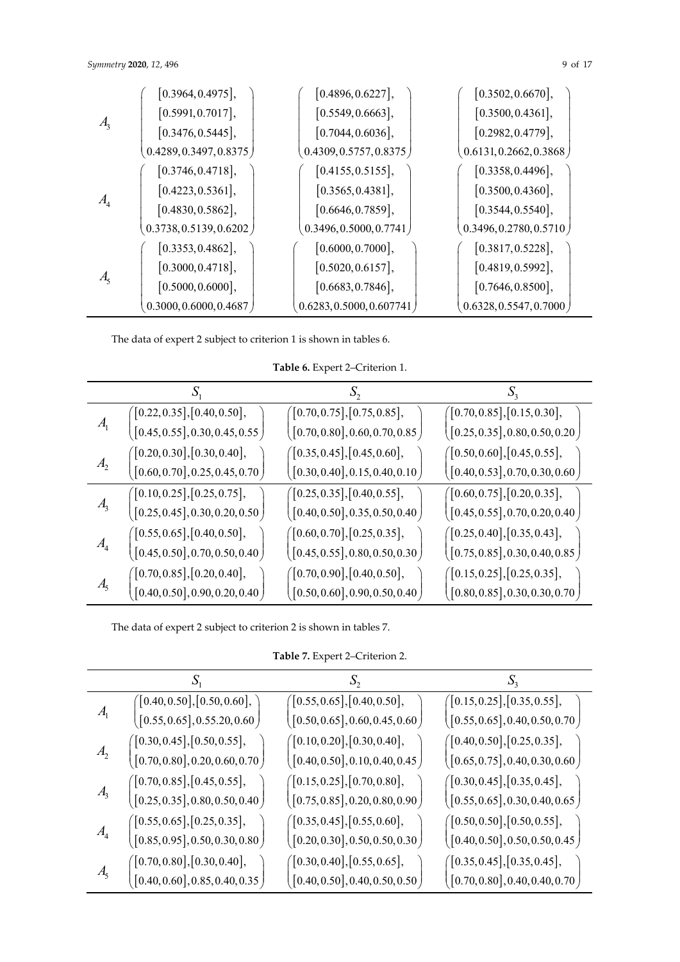# *Symmetry* 2020, 12, 496 9 of 17

|                | [0.3964, 0.4975],        | [0.4896, 0.6227],          | [0.3502, 0.6670],        |
|----------------|--------------------------|----------------------------|--------------------------|
|                | [0.5991, 0.7017],        | [0.5549, 0.6663],          | [0.3500, 0.4361],        |
| A <sub>3</sub> | [0.3476, 0.5445],        | [0.7044, 0.6036],          | [0.2982, 0.4779],        |
|                | (0.4289, 0.3497, 0.8375) | (0.4309, 0.5757, 0.8375)   | (0.6131, 0.2662, 0.3868) |
|                | [0.3746, 0.4718],        | [0.4155, 0.5155],          | [0.3358, 0.4496],        |
|                | [0.4223, 0.5361],        | [0.3565, 0.4381],          | [0.3500, 0.4360],        |
| A <sub>4</sub> | [0.4830, 0.5862],        | [0.6646, 0.7859],          | [0.3544, 0.5540],        |
|                | (0.3738, 0.5139, 0.6202) | (0.3496, 0.5000, 0.7741)   | (0.3496, 0.2780, 0.5710) |
|                | [0.3353, 0.4862],        | [0.6000, 0.7000],          | [0.3817, 0.5228],        |
| $A_{5}$        | [0.3000, 0.4718],        | [0.5020, 0.6157],          | [0.4819, 0.5992],        |
|                | [0.5000, 0.6000],        | [0.6683, 0.7846],          | [0.7646, 0.8500],        |
|                | 0.3000, 0.6000, 0.4687   | (0.6283, 0.5000, 0.607741) | (0.6328, 0.5547, 0.7000) |

The data of expert 2 subject to criterion 1 is shown in tables 6.

**Table 6.** Expert 2–Criterion 1.

| $A_{1}$        | $\big([0.22, 0.35], [0.40, 0.50],\$       | ([0.70, 0.75], [0.75, 0.85],                              | ([0.70, 0.85], [0.15, 0.30],                              |
|----------------|-------------------------------------------|-----------------------------------------------------------|-----------------------------------------------------------|
|                | $\left([0.45,0.55],0.30,0.45,0.55\right)$ | $\big( \big[ 0.70, 0.80 \big], 0.60, 0.70, 0.85 \, \big)$ | $\big( \big[ 0.25, 0.35 \big], 0.80, 0.50, 0.20 \, \big)$ |
| $A_{2}$        | $\big([0.20, 0.30], [0.30, 0.40],\$       | $($ [0.35, 0.45], [0.45, 0.60],                           | $($ [0.50,0.60],[0.45,0.55],                              |
|                | $\left([0.60,0.70],0.25,0.45,0.70\right)$ | $\big( \big[ 0.30, 0.40 \big], 0.15, 0.40, 0.10 \, \big)$ | $\left([0.40, 0.53], 0.70, 0.30, 0.60\right)$             |
| A <sub>3</sub> | (0.10, 0.25], [0.25, 0.75],               | ([0.25, 0.35], [0.40, 0.55],                              | ([0.60, 0.75], [0.20, 0.35],                              |
|                | $\left([0.25,0.45],0.30,0.20,0.50\right)$ | $\left([0.40,0.50],0.35,0.50,0.40\right)$                 | $\left([0.45,0.55],0.70,0.20,0.40\right)$                 |
| A <sub>4</sub> | ([0.55, 0.65], [0.40, 0.50],              | ([0.60, 0.70], [0.25, 0.35],                              | ([0.25, 0.40], [0.35, 0.43],                              |
|                | $\left([0.45,0.50],0.70,0.50,0.40\right)$ | $\big( \big[ 0.45, 0.55 \big], 0.80, 0.50, 0.30 \, \big)$ | $\left([0.75,0.85],0.30,0.40,0.85\right)$                 |
| A <sub>5</sub> | ([0.70, 0.85], [0.20, 0.40],              | $($ [0.70,0.90],[0.40,0.50],                              | ([0.15, 0.25], [0.25, 0.35],                              |
|                | [0.40, 0.50], 0.90, 0.20, 0.40]           | [0.50, 0.60], 0.90, 0.50, 0.40]                           | [0.80, 0.85], 0.30, 0.30, 0.70]                           |

The data of expert 2 subject to criterion 2 is shown in tables 7.

**Table 7.** Expert 2–Criterion 2.

|                | $\big(\big[0.40, 0.50\big], \big[0.50, 0.60\big], \big]$ | $\bigl([0.55, 0.65], [0.40, 0.50],\bigr]$                | ([0.15, 0.25], [0.35, 0.55],               |
|----------------|----------------------------------------------------------|----------------------------------------------------------|--------------------------------------------|
| $A_{1}$        | $\left([0.55,0.65],0.55.20,0.60\right)$                  | $\left([0.50, 0.65], 0.60, 0.45, 0.60\right)$            | $\left([0.55,0.65],0.40,0.50,0.70\right)$  |
|                | ([0.30, 0.45], [0.50, 0.55],                             | $\big([0.10, 0.20], [0.30, 0.40],\$                      | ([0.40, 0.50], [0.25, 0.35],               |
| A <sub>2</sub> | $\left([0.70,0.80],0.20,0.60,0.70\right)$                | $\left([0.40, 0.50], 0.10, 0.40, 0.45\right)$            | $\left([0.65,0.75],0.40,0.30,0.60\right)$  |
|                | $($ [0.70,0.85],[0.45,0.55],                             | ([0.15, 0.25], [0.70, 0.80],                             | ([0.30, 0.45], [0.35, 0.45],               |
| A <sub>3</sub> | $\left([0.25,0.35],0.80,0.50,0.40\right)$                | $\left([0.75,0.85],0.20,0.80,0.90\right)$                | $\left([0.55,0.65],0.30,0.40,0.65\right)$  |
|                | $\left[0.55, 0.65\right], \left[0.25, 0.35\right],$      | $($ [0.35, 0.45],[0.55, 0.60],                           | $\left([0.50, 0.50], [0.50, 0.55],\right.$ |
| A <sub>4</sub> | $\left([0.85,0.95],0.50,0.30,0.80\right)$                | $\big( \big[0.20, 0.30 \big], 0.50, 0.50, 0.30 \, \big)$ | $\left([0.40,0.50],0.50,0.50,0.45\right)$  |
|                | $($ [0.70,0.80],[0.30,0.40],                             | ([0.30, 0.40], [0.55, 0.65],                             | ([0.35, 0.45], [0.35, 0.45],               |
| A <sub>5</sub> | [0.40, 0.60], 0.85, 0.40, 0.35]                          | $\left([0.40,0.50],0.40,0.50,0.50\right)$                | $\left([0.70,0.80],0.40,0.40,0.70\right)$  |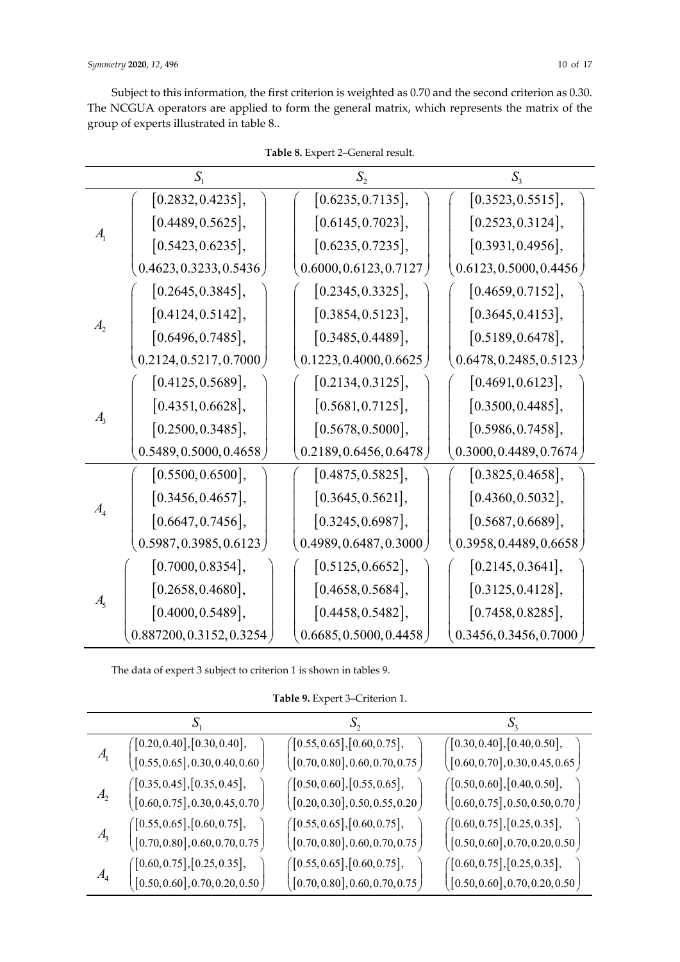Subject to this information, the first criterion is weighted as 0.70 and the second criterion as 0.30. The NCGUA operators are applied to form the general matrix, which represents the matrix of the group of experts illustrated in table 8..

|                | $S_{1}$                   | $S_{2}$                  | $S_{3}$                  |
|----------------|---------------------------|--------------------------|--------------------------|
|                | [0.2832, 0.4235],         | [0.6235, 0.7135],        | [0.3523, 0.5515],        |
|                | [0.4489, 0.5625],         | [0.6145, 0.7023],        | [0.2523, 0.3124],        |
| $A_{1}$        | [0.5423, 0.6235],         | [0.6235, 0.7235],        | [0.3931, 0.4956],        |
|                | 0.4623, 0.3233, 0.5436    | 0.6000, 0.6123, 0.7127   | 0.6123, 0.5000, 0.4456   |
|                | [0.2645, 0.3845],         | [0.2345, 0.3325],        | [0.4659, 0.7152],        |
|                | [0.4124, 0.5142],         | [0.3854, 0.5123],        | [0.3645, 0.4153],        |
| $A_{2}$        | [0.6496, 0.7485],         | [0.3485, 0.4489],        | [0.5189, 0.6478],        |
|                | 0.2124, 0.5217, 0.7000    | 0.1223, 0.4000, 0.6625   | (0.6478, 0.2485, 0.5123) |
|                | [0.4125, 0.5689],         | [0.2134, 0.3125],        | [0.4691, 0.6123],        |
| $A_{\rm s}$    | [0.4351, 0.6628],         | [0.5681, 0.7125],        | [0.3500, 0.4485],        |
|                | [0.2500, 0.3485],         | [0.5678, 0.5000],        | [0.5986, 0.7458],        |
|                | 0.5489, 0.5000, 0.4658)   | 0.2189, 0.6456, 0.6478   | 0.3000, 0.4489, 0.7674)  |
|                | [0.5500, 0.6500],         | [0.4875, 0.5825],        | [0.3825, 0.4658],        |
|                | [0.3456, 0.4657],         | [0.3645, 0.5621],        | [0.4360, 0.5032],        |
| A <sub>4</sub> | [0.6647, 0.7456],         | [0.3245, 0.6987],        | [0.5687, 0.6689],        |
|                | 0.5987, 0.3985, 0.6123    | (0.4989, 0.6487, 0.3000) | (0.3958, 0.4489, 0.6658) |
| A <sub>5</sub> | [0.7000, 0.8354],         | [0.5125, 0.6652],        | [0.2145, 0.3641],        |
|                | [0.2658, 0.4680],         | [0.4658, 0.5684],        | [0.3125, 0.4128],        |
|                | [0.4000, 0.5489],         | [0.4458, 0.5482],        | [0.7458, 0.8285],        |
|                | 0.887200, 0.3152, 0.3254) | 0.6685, 0.5000, 0.4458   | 0.3456, 0.3456, 0.7000   |

**Table 8.** Expert 2–General result.

The data of expert 3 subject to criterion 1 is shown in tables 9.

**Table 9.** Expert 3–Criterion 1.

|                   |                                               |                                                           | $\mathcal{D}$                                             |
|-------------------|-----------------------------------------------|-----------------------------------------------------------|-----------------------------------------------------------|
|                   | $\left([0.20, 0.40], [0.30, 0.40],\right.$    | ([0.55, 0.65], [0.60, 0.75],                              | $\bigl([0.30, 0.40], [0.40, 0.50],\bigr]$                 |
| $\mathcal{A}_{1}$ | $\left([0.55,0.65],0.30,0.40,0.60\right)$     | $\big( \big[ 0.70, 0.80 \big], 0.60, 0.70, 0.75 \big)$    | $\left([0.60, 0.70], 0.30, 0.45, 0.65\right)$             |
|                   | $($ [0.35, 0.45], [0.35, 0.45],               | ([0.50, 0.60], [0.55, 0.65],                              | ([0.50, 0.60], [0.40, 0.50],                              |
| A <sub>2</sub>    | $\left([0.60, 0.75], 0.30, 0.45, 0.70\right)$ | $\left([0.20,0.30],0.50,0.55,0.20\right)$                 | $\left([0.60, 0.75], 0.50, 0.50, 0.70\right)$             |
|                   | (0.55, 0.65], [0.60, 0.75],                   | ([0.55, 0.65], [0.60, 0.75],                              | $($ [0.60, 0.75], [0.25, 0.35],                           |
| A <sub>3</sub>    | $\left([0.70,0.80],0.60,0.70,0.75\right)$     | $\big( \big[ 0.70, 0.80 \big], 0.60, 0.70, 0.75 \, \big)$ | $\big( \big[ 0.50, 0.60 \big], 0.70, 0.20, 0.50 \, \big)$ |
|                   | $\big([0.60, 0.75], [0.25, 0.35],\$           | ([0.55, 0.65], [0.60, 0.75],                              | ([0.60, 0.75], [0.25, 0.35],                              |
| A <sub>4</sub>    | [0.50, 0.60], 0.70, 0.20, 0.50]               | $\left([0.70,0.80],0.60,0.70,0.75\right)$                 | $\big([0.50, 0.60], 0.70, 0.20, 0.50\big)$                |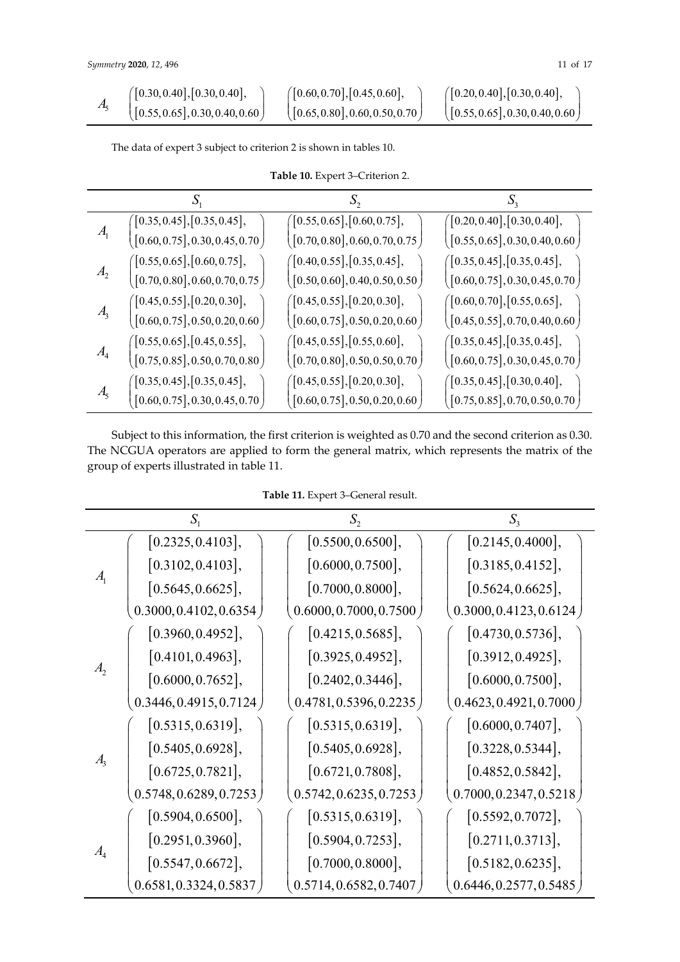|  | ([0.30, 0.40], [0.30, 0.40],        | ([0.60, 0.70], [0.45, 0.60],        | $($ [0.20, 0.40], [0.30, 0.40],               |
|--|-------------------------------------|-------------------------------------|-----------------------------------------------|
|  | $($ [0.55, 0.65], 0.30, 0.40, 0.60] | $($ [0.65, 0.80], 0.60, 0.50, 0.70) | $\left([0.55, 0.65], 0.30, 0.40, 0.60\right)$ |

The data of expert 3 subject to criterion 2 is shown in tables 10.

|  | Table 10. Expert 3-Criterion 2. |
|--|---------------------------------|
|--|---------------------------------|

| $A_{1}$        | ([0.35, 0.45], [0.35, 0.45],                                     | $\bigl([0.55, 0.65], [0.60, 0.75],$                       | $\big(\big[0.20, 0.40\big], \big[0.30, 0.40\big],$ |
|----------------|------------------------------------------------------------------|-----------------------------------------------------------|----------------------------------------------------|
|                | $\left([0.60, 0.75], 0.30, 0.45, 0.70\right)$                    | $\big( \big[ 0.70, 0.80 \big], 0.60, 0.70, 0.75 \big)$    | $\left([0.55,0.65],0.30,0.40,0.60\right)$          |
|                | ([0.55, 0.65], [0.60, 0.75],                                     | ([0.40, 0.55], [0.35, 0.45],                              | ([0.35, 0.45], [0.35, 0.45],                       |
| A <sub>2</sub> | $\left([0.70,0.80],0.60,0.70,0.75\right)$                        | $\big( \big[ 0.50, 0.60 \big], 0.40, 0.50, 0.50 \big)$    | $\left([0.60, 0.75], 0.30, 0.45, 0.70\right)$      |
|                | ([0.45, 0.55], [0.20, 0.30],                                     | ([0.45, 0.55], [0.20, 0.30],                              | $\bigl([0.60, 0.70], [0.55, 0.65],\bigr]$          |
| A <sub>3</sub> | $\left([0.60,0.75],0.50,0.20,0.60\right)$                        | $\big( \big[ 0.60, 0.75 \big], 0.50, 0.20, 0.60 \, \big)$ | $\left([0.45,0.55],0.70,0.40,0.60\right)$          |
|                | ([0.55, 0.65], [0.45, 0.55],                                     | $($ [0.45,0.55],[0.55,0.60],                              | ([0.35, 0.45], [0.35, 0.45],                       |
| A <sub>4</sub> | $\left([0.75,0.85],0.50,0.70,0.80\right)$                        | $\big( \big[0.70, 0.80 \big], 0.50, 0.50, 0.70 \, \big)$  | $\left([0.60,0.75],0.30,0.45,0.70\right)$          |
| A <sub>5</sub> | ([0.35, 0.45], [0.35, 0.45],                                     | $\bigl([0.45, 0.55], [0.20, 0.30],\bigr)$                 | ([0.35, 0.45], [0.30, 0.40],                       |
|                | $\left[0.60, 0.75 \right]$ , $0.30, 0.45, 0.70$ $\left. \right)$ | $\left([0.60, 0.75], 0.50, 0.20, 0.60\right)$             | $\left([0.75,0.85],0.70,0.50,0.70\right)$          |

Subject to this information, the first criterion is weighted as 0.70 and the second criterion as 0.30. The NCGUA operators are applied to form the general matrix, which represents the matrix of the group of experts illustrated in table 11.

**Table 11.** Expert 3–General result.

|                | $S_{1}$                               | $S_2$                  | S <sub>3</sub>           |
|----------------|---------------------------------------|------------------------|--------------------------|
| $A_{1}$        | [0.2325, 0.4103],                     | [0.5500, 0.6500],      | [0.2145, 0.4000],        |
|                | [0.3102, 0.4103],                     | [0.6000, 0.7500],      | [0.3185, 0.4152],        |
|                | [0.5645, 0.6625],                     | [0.7000, 0.8000],      | [0.5624, 0.6625],        |
|                | (0.3000, 0.4102, 0.6354)              | 0.6000, 0.7000, 0.7500 | [0.3000, 0.4123, 0.6124] |
|                | [0.3960, 0.4952],                     | [0.4215, 0.5685],      | [0.4730, 0.5736],        |
|                | [0.4101, 0.4963],                     | [0.3925, 0.4952],      | [0.3912, 0.4925],        |
| $A_{2}$        | [0.6000, 0.7652],                     | [0.2402, 0.3446],      | [0.6000, 0.7500],        |
|                | 0.3446, 0.4915, 0.7124)               | 0.4781, 0.5396, 0.2235 | 0.4623, 0.4921, 0.7000   |
|                | [0.5315, 0.6319],                     | [0.5315, 0.6319],      | [0.6000, 0.7407],        |
|                | [0.5405, 0.6928],                     | [0.5405, 0.6928],      | [0.3228, 0.5344],        |
| $A_{3}$        | [0.6725, 0.7821],                     | [0.6721, 0.7808],      | [0.4852, 0.5842],        |
|                | $\left(0.5748, 0.6289, 0.7253\right)$ | 0.5742, 0.6235, 0.7253 | (0.7000, 0.2347, 0.5218) |
| A <sub>4</sub> | [0.5904, 0.6500],                     | [0.5315, 0.6319],      | [0.5592, 0.7072],        |
|                | [0.2951, 0.3960],                     | [0.5904, 0.7253],      | [0.2711, 0.3713],        |
|                | [0.5547, 0.6672],                     | [0.7000, 0.8000],      | [0.5182, 0.6235],        |
|                | 0.6581, 0.3324, 0.5837                | 0.5714, 0.6582, 0.7407 | 0.6446, 0.2577, 0.5485   |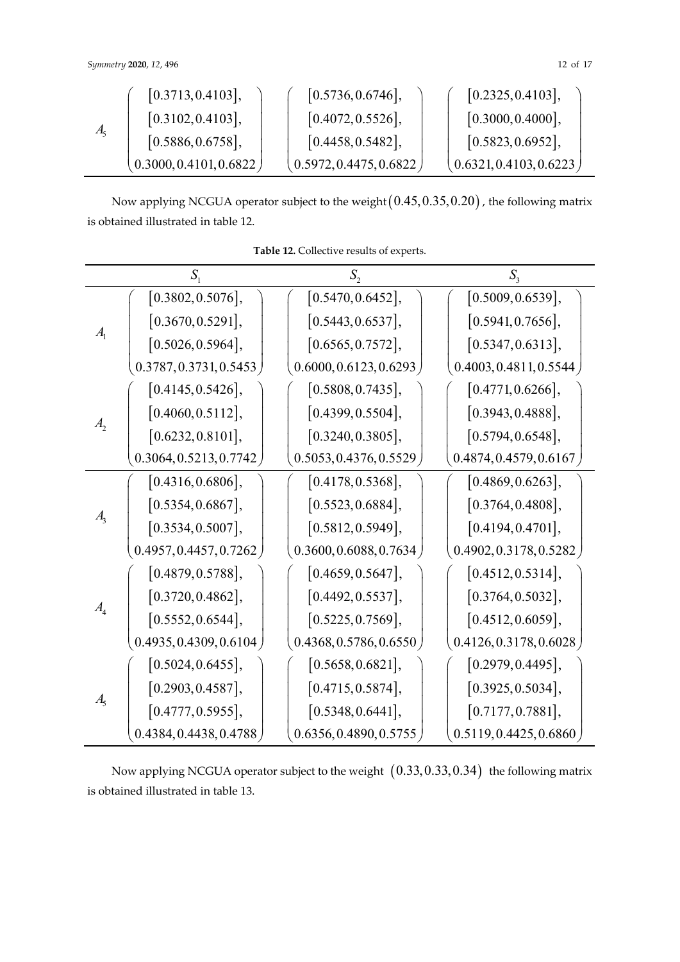| $A_5$ | [0.3713, 0.4103],        | [0.5736, 0.6746],      | [0.2325, 0.4103],        |
|-------|--------------------------|------------------------|--------------------------|
|       | [0.3102, 0.4103],        | [0.4072, 0.5526],      | [0.3000, 0.4000],        |
|       | [0.5886, 0.6758],        | [0.4458, 0.5482],      | [0.5823, 0.6952],        |
|       | (0.3000, 0.4101, 0.6822) | 0.5972, 0.4475, 0.6822 | (0.6321, 0.4103, 0.6223) |

Now applying NCGUA operator subject to the weight  $(0.45,0.35,0.20)$  , the following matrix is obtained illustrated in table 12.

|                | $S_{1}$                  | $S_{2}$                  | $S_{\rm a}$              |
|----------------|--------------------------|--------------------------|--------------------------|
| A <sub>1</sub> | [0.3802, 0.5076],        | [0.5470, 0.6452],        | [0.5009, 0.6539],        |
|                | [0.3670, 0.5291],        | [0.5443, 0.6537],        | [0.5941, 0.7656],        |
|                | [0.5026, 0.5964],        | [0.6565, 0.7572],        | [0.5347, 0.6313],        |
|                | 0.3787, 0.3731, 0.5453   | (0.6000, 0.6123, 0.6293) | (0.4003, 0.4811, 0.5544) |
|                | [0.4145, 0.5426],        | [0.5808, 0.7435],        | [0.4771, 0.6266],        |
|                | [0.4060, 0.5112],        | [0.4399, 0.5504],        | [0.3943, 0.4888],        |
| $A_{2}$        | [0.6232, 0.8101],        | [0.3240, 0.3805],        | [0.5794, 0.6548],        |
|                | 0.3064, 0.5213, 0.7742)  | 0.5053, 0.4376, 0.5529   | (0.4874, 0.4579, 0.6167) |
|                | [0.4316, 0.6806],        | [0.4178, 0.5368],        | [0.4869, 0.6263],        |
|                | [0.5354, 0.6867],        | [0.5523, 0.6884],        | [0.3764, 0.4808],        |
| A <sub>3</sub> | [0.3534, 0.5007],        | [0.5812, 0.5949],        | [0.4194, 0.4701],        |
|                | 0.4957, 0.4457, 0.7262)  | 0.3600, 0.6088, 0.7634   | [0.4902, 0.3178, 0.5282] |
|                | [0.4879, 0.5788],        | [0.4659, 0.5647],        | [0.4512, 0.5314],        |
| $A_{4}$        | [0.3720, 0.4862],        | [0.4492, 0.5537],        | [0.3764, 0.5032],        |
|                | [0.5552, 0.6544],        | [0.5225, 0.7569],        | [0.4512, 0.6059],        |
|                | [0.4935, 0.4309, 0.6104] | (0.4368, 0.5786, 0.6550) | (0.4126, 0.3178, 0.6028) |
|                | [0.5024, 0.6455],        | [0.5658, 0.6821],        | [0.2979, 0.4495],        |
|                | [0.2903, 0.4587],        | [0.4715, 0.5874],        | [0.3925, 0.5034],        |
| A <sub>5</sub> | [0.4777, 0.5955],        | [0.5348, 0.6441],        | [0.7177, 0.7881],        |
|                | 0.4384, 0.4438, 0.4788   | 0.6356, 0.4890, 0.5755   | 0.5119, 0.4425, 0.6860   |

**Table 12.** Collective results of experts.

Now applying NCGUA operator subject to the weight  $(0.33,0.33,0.34)$  the following matrix is obtained illustrated in table 13.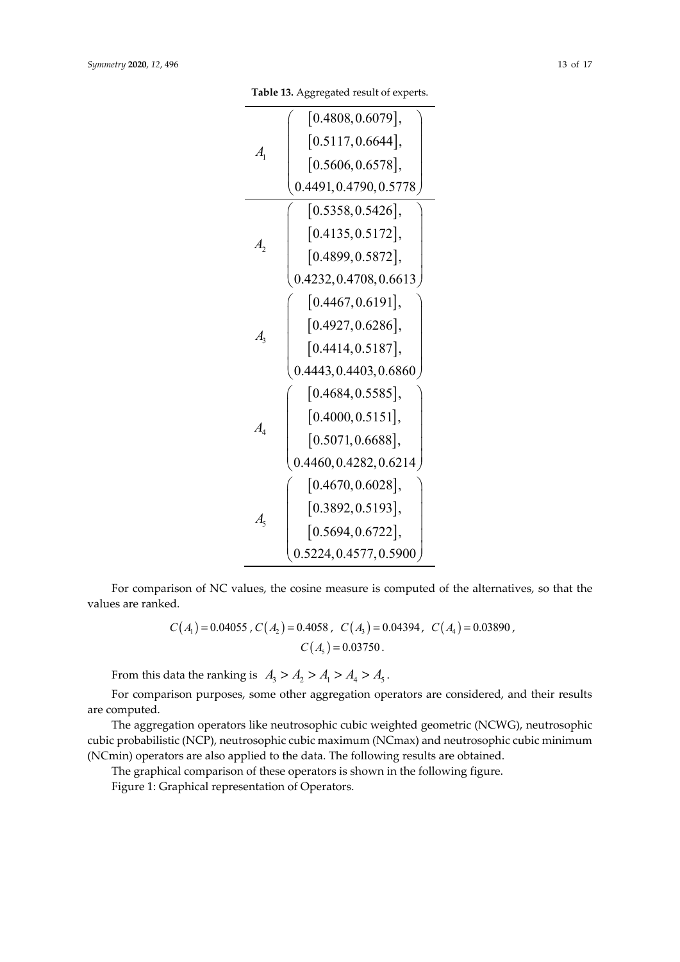**Table 13.** Aggregated result of experts.

|                             | $\vert 0.4808, 0.6079 \vert,$ |
|-----------------------------|-------------------------------|
| $A_{1}$                     | [0.5117, 0.6644],             |
|                             | [0.5606, 0.6578],             |
|                             | 0.4491, 0.4790, 0.5778        |
|                             | [0.5358, 0.5426],             |
| $A_{2}$                     | [0.4135, 0.5172],             |
|                             | [0.4899, 0.5872],             |
|                             | 0.4232, 0.4708, 0.6613        |
|                             | [0.4467, 0.6191],             |
| $A_{\mathfrak{p}}$          | [0.4927, 0.6286],             |
|                             | [0.4414, 0.5187],             |
|                             | 0.4443, 0.4403, 0.6860        |
|                             | [0.4684, 0.5585],             |
| $A_{\scriptscriptstyle{A}}$ | [0.4000, 0.5151],             |
|                             | [0.5071, 0.6688],             |
|                             | 0.4460, 0.4282, 0.6214        |
|                             | [0.4670, 0.6028],             |
| $A_{\varsigma}$             | [0.3892, 0.5193],             |
|                             | [0.5694, 0.6722],             |
|                             | 0.5224, 0.4577, 0.5900        |

For comparison of NC values, the cosine measure is computed of the alternatives, so that the values are ranked.

$$
C(A_1) = 0.04055
$$
,  $C(A_2) = 0.4058$ ,  $C(A_3) = 0.04394$ ,  $C(A_4) = 0.03890$ ,  
 $C(A_5) = 0.03750$ .

From this data the ranking is  $A_3 > A_2 > A_1 > A_4 > A_5$ .

For comparison purposes, some other aggregation operators are considered, and their results are computed.

The aggregation operators like neutrosophic cubic weighted geometric (NCWG), neutrosophic cubic probabilistic (NCP), neutrosophic cubic maximum (NCmax) and neutrosophic cubic minimum (NCmin) operators are also applied to the data. The following results are obtained.

The graphical comparison of these operators is shown in the following figure.

Figure 1: Graphical representation of Operators.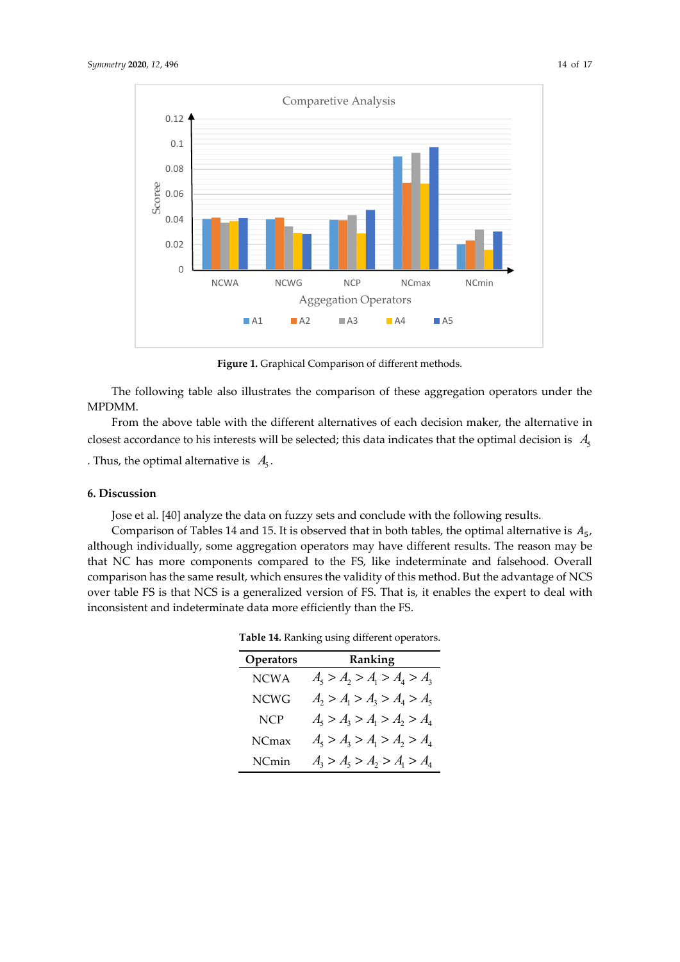

Figure 1. Graphical Comparison of different methods.

The following table also illustrates the comparison of these aggregation operators under the MPDMM.

From the above table with the different alternatives of each decision maker, the alternative in closest accordance to his interests will be selected; this data indicates that the optimal decision is  $A_5$ 

. Thus, the optimal alternative is  $A_5$ .

## **6. Discussion**

Jose et al. [40] analyze the data on fuzzy sets and conclude with the following results.

Comparison of Tables 14 and 15. It is observed that in both tables, the optimal alternative is  $A_5$ , although individually, some aggregation operators may have different results. The reason may be that NC has more components compared to the FS, like indeterminate and falsehood. Overall comparison has the same result, which ensures the validity of this method. But the advantage of NCS over table FS is that NCS is a generalized version of FS. That is, it enables the expert to deal with inconsistent and indeterminate data more efficiently than the FS.

| Operators   | Ranking                       |
|-------------|-------------------------------|
| <b>NCWA</b> | $A_5 > A_2 > A_1 > A_4 > A_3$ |
| NCWG        | $A_2 > A_1 > A_3 > A_4 > A_5$ |
| <b>NCP</b>  | $A_5 > A_3 > A_1 > A_2 > A_4$ |
| NCmax       | $A_5 > A_3 > A_1 > A_2 > A_4$ |
| NCmin       | $A_3 > A_5 > A_2 > A_1 > A_4$ |

**Table 14.** Ranking using different operators.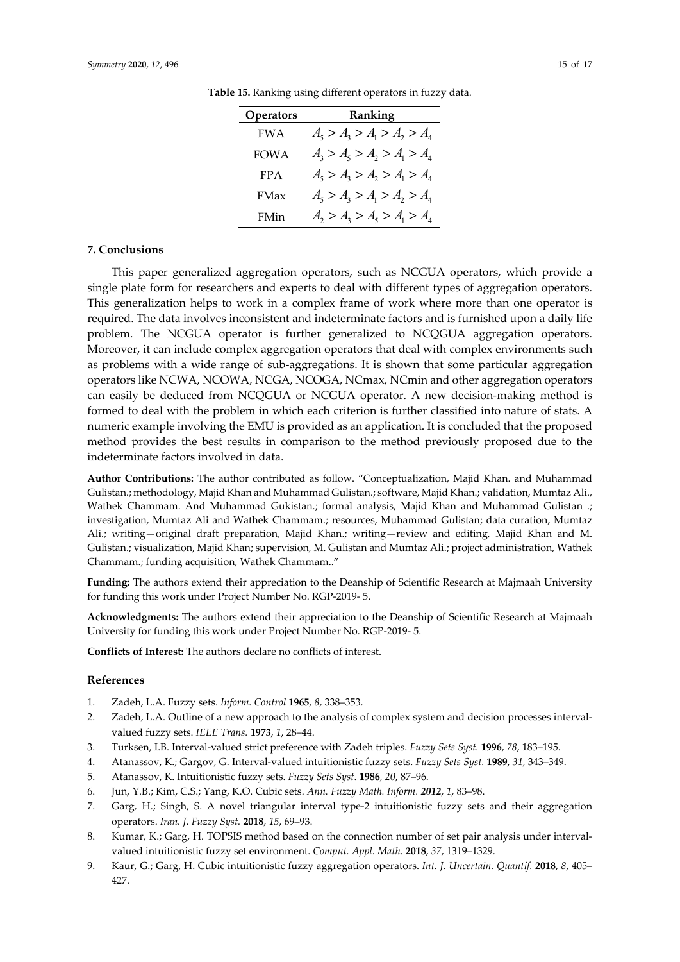| <b>Operators</b> | Ranking                       |
|------------------|-------------------------------|
| <b>FWA</b>       | $A_5 > A_3 > A_1 > A_2 > A_4$ |
| FOW A            | $A_3 > A_5 > A_2 > A_1 > A_4$ |
| <b>FPA</b>       | $A_5 > A_3 > A_2 > A_1 > A_4$ |
| <b>FMax</b>      | $A_5 > A_3 > A_1 > A_2 > A_4$ |
| FMin             | $A_2 > A_3 > A_5 > A_1 > A_4$ |

**Table 15.** Ranking using different operators in fuzzy data.

#### **7. Conclusions**

This paper generalized aggregation operators, such as NCGUA operators, which provide a single plate form for researchers and experts to deal with different types of aggregation operators. This generalization helps to work in a complex frame of work where more than one operator is required. The data involves inconsistent and indeterminate factors and is furnished upon a daily life problem. The NCGUA operator is further generalized to NCQGUA aggregation operators. Moreover, it can include complex aggregation operators that deal with complex environments such as problems with a wide range of sub-aggregations. It is shown that some particular aggregation operators like NCWA, NCOWA, NCGA, NCOGA, NCmax, NCmin and other aggregation operators can easily be deduced from NCQGUA or NCGUA operator. A new decision-making method is formed to deal with the problem in which each criterion is further classified into nature of stats. A numeric example involving the EMU is provided as an application. It is concluded that the proposed method provides the best results in comparison to the method previously proposed due to the indeterminate factors involved in data.

**Author Contributions:** The author contributed as follow. "Conceptualization, Majid Khan. and Muhammad Gulistan.; methodology, Majid Khan and Muhammad Gulistan.; software, Majid Khan.; validation, Mumtaz Ali., Wathek Chammam. And Muhammad Gukistan.; formal analysis, Majid Khan and Muhammad Gulistan .; investigation, Mumtaz Ali and Wathek Chammam.; resources, Muhammad Gulistan; data curation, Mumtaz Ali.; writing—original draft preparation, Majid Khan.; writing—review and editing, Majid Khan and M. Gulistan.; visualization, Majid Khan; supervision, M. Gulistan and Mumtaz Ali.; project administration, Wathek Chammam.; funding acquisition, Wathek Chammam.."

**Funding:** The authors extend their appreciation to the Deanship of Scientific Research at Majmaah University for funding this work under Project Number No. RGP-2019- 5.

**Acknowledgments:** The authors extend their appreciation to the Deanship of Scientific Research at Majmaah University for funding this work under Project Number No. RGP-2019- 5.

**Conflicts of Interest:** The authors declare no conflicts of interest.

## **References**

- 1. Zadeh, L.A. Fuzzy sets. *Inform. Control* **1965**, *8*, 338–353.
- 2. Zadeh, L.A. Outline of a new approach to the analysis of complex system and decision processes intervalvalued fuzzy sets. *IEEE Trans.* **1973**, *1*, 28–44.
- 3. Turksen, I.B. Interval-valued strict preference with Zadeh triples. *Fuzzy Sets Syst.* **1996**, *78*, 183–195.
- 4. Atanassov, K.; Gargov, G. Interval-valued intuitionistic fuzzy sets. *Fuzzy Sets Syst.* **1989**, *31*, 343–349.
- 5. Atanassov, K. Intuitionistic fuzzy sets. *Fuzzy Sets Syst*. **1986**, *20*, 87–96.
- 6. Jun, Y.B.; Kim, C.S.; Yang, K.O. Cubic sets. *Ann. Fuzzy Math. Inform. 2012*, *1*, 83–98.
- 7. Garg, H.; Singh, S. A novel triangular interval type-2 intuitionistic fuzzy sets and their aggregation operators. *Iran. J. Fuzzy Syst.* **2018**, *15*, 69–93.
- 8. Kumar, K.; Garg, H. TOPSIS method based on the connection number of set pair analysis under intervalvalued intuitionistic fuzzy set environment. *Comput. Appl. Math*. **2018**, *37*, 1319–1329.
- 9. Kaur, G.; Garg, H. Cubic intuitionistic fuzzy aggregation operators. *Int. J. Uncertain. Quantif.* **2018**, *8*, 405– 427.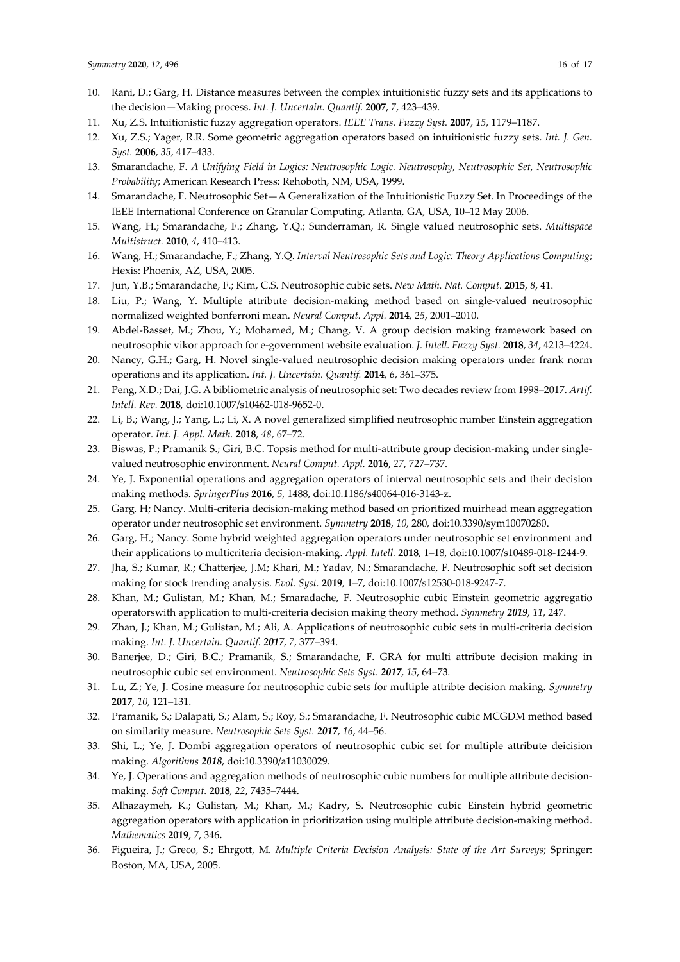- 10. Rani, D.; Garg, H. Distance measures between the complex intuitionistic fuzzy sets and its applications to the decision—Making process. *Int. J. Uncertain. Quantif.* **2007**, *7*, 423–439.
- 11. Xu, Z.S. Intuitionistic fuzzy aggregation operators. *IEEE Trans. Fuzzy Syst.* **2007**, *15*, 1179–1187.
- 12. Xu, Z.S.; Yager, R.R. Some geometric aggregation operators based on intuitionistic fuzzy sets. *Int. J. Gen. Syst.* **2006**, *35*, 417–433.
- 13. Smarandache, F. *A Unifying Field in Logics: Neutrosophic Logic. Neutrosophy, Neutrosophic Set, Neutrosophic Probability*; American Research Press: Rehoboth, NM, USA, 1999.
- 14. Smarandache, F. Neutrosophic Set—A Generalization of the Intuitionistic Fuzzy Set. In Proceedings of the IEEE International Conference on Granular Computing, Atlanta, GA, USA, 10–12 May 2006.
- 15. Wang, H.; Smarandache, F.; Zhang, Y.Q.; Sunderraman, R. Single valued neutrosophic sets. *Multispace Multistruct.* **2010**, *4*, 410–413.
- 16. Wang, H.; Smarandache, F.; Zhang, Y.Q. *Interval Neutrosophic Sets and Logic: Theory Applications Computing*; Hexis: Phoenix, AZ, USA, 2005.
- 17. Jun, Y.B.; Smarandache, F.; Kim, C.S. Neutrosophic cubic sets. *New Math. Nat. Comput.* **2015**, *8*, 41.
- 18. Liu, P.; Wang, Y. Multiple attribute decision-making method based on single-valued neutrosophic normalized weighted bonferroni mean. *Neural Comput. Appl.* **2014**, *25*, 2001–2010.
- 19. Abdel-Basset, M.; Zhou, Y.; Mohamed, M.; Chang, V. A group decision making framework based on neutrosophic vikor approach for e-government website evaluation. *J. Intell. Fuzzy Syst.* **2018**, *34*, 4213–4224.
- 20. Nancy, G.H.; Garg, H. Novel single-valued neutrosophic decision making operators under frank norm operations and its application. *Int. J. Uncertain. Quantif.* **2014**, *6*, 361–375.
- 21. Peng, X.D.; Dai, J.G. A bibliometric analysis of neutrosophic set: Two decades review from 1998–2017. *Artif. Intell. Rev.* **2018**, doi:10.1007/s10462-018-9652-0.
- 22. Li, B.; Wang, J.; Yang, L.; Li, X. A novel generalized simplified neutrosophic number Einstein aggregation operator. *Int. J. Appl. Math.* **2018**, *48*, 67–72.
- 23. Biswas, P.; Pramanik S.; Giri, B.C. Topsis method for multi-attribute group decision-making under singlevalued neutrosophic environment. *Neural Comput. Appl.* **2016**, *27*, 727–737.
- 24. Ye, J. Exponential operations and aggregation operators of interval neutrosophic sets and their decision making methods. *SpringerPlus* **2016**, *5*, 1488, doi:10.1186/s40064-016-3143-z.
- 25. Garg, H; Nancy. Multi-criteria decision-making method based on prioritized muirhead mean aggregation operator under neutrosophic set environment. *Symmetry* **2018**, *10*, 280, doi:10.3390/sym10070280.
- 26. Garg, H.; Nancy. Some hybrid weighted aggregation operators under neutrosophic set environment and their applications to multicriteria decision-making. *Appl. Intell.* **2018**, 1–18, doi:10.1007/s10489-018-1244-9.
- 27. Jha, S.; Kumar, R.; Chatterjee, J.M; Khari, M.; Yadav, N.; Smarandache, F. Neutrosophic soft set decision making for stock trending analysis. *Evol. Syst.* **2019**, 1–7, doi:10.1007/s12530-018-9247-7.
- 28. Khan, M.; Gulistan, M.; Khan, M.; Smaradache, F. Neutrosophic cubic Einstein geometric aggregatio operatorswith application to multi-creiteria decision making theory method. *Symmetry 2019*, *11*, 247.
- 29. Zhan, J.; Khan, M.; Gulistan, M.; Ali, A. Applications of neutrosophic cubic sets in multi-criteria decision making. *Int. J. Uncertain. Quantif. 2017*, *7*, 377–394.
- 30. Banerjee, D.; Giri, B.C.; Pramanik, S.; Smarandache, F. GRA for multi attribute decision making in neutrosophic cubic set environment. *Neutrosophic Sets Syst. 2017*, *15*, 64–73.
- 31. Lu, Z.; Ye, J. Cosine measure for neutrosophic cubic sets for multiple attribte decision making. *Symmetry* **2017**, *10*, 121–131.
- 32. Pramanik, S.; Dalapati, S.; Alam, S.; Roy, S.; Smarandache, F. Neutrosophic cubic MCGDM method based on similarity measure. *Neutrosophic Sets Syst. 2017*, *16*, 44–56.
- 33. Shi, L.; Ye, J. Dombi aggregation operators of neutrosophic cubic set for multiple attribute deicision making. *Algorithms 2018*, doi:10.3390/a11030029.
- 34. Ye, J. Operations and aggregation methods of neutrosophic cubic numbers for multiple attribute decisionmaking. *Soft Comput.* **2018**, *22*, 7435–7444.
- 35. Alhazaymeh, K.; Gulistan, M.; Khan, M.; Kadry, S. Neutrosophic cubic Einstein hybrid geometric aggregation operators with application in prioritization using multiple attribute decision-making method. *Mathematics* **2019**, *7*, 346**.**
- 36. Figueira, J.; Greco, S.; Ehrgott, M. *Multiple Criteria Decision Analysis: State of the Art Surveys*; Springer: Boston, MA, USA, 2005.